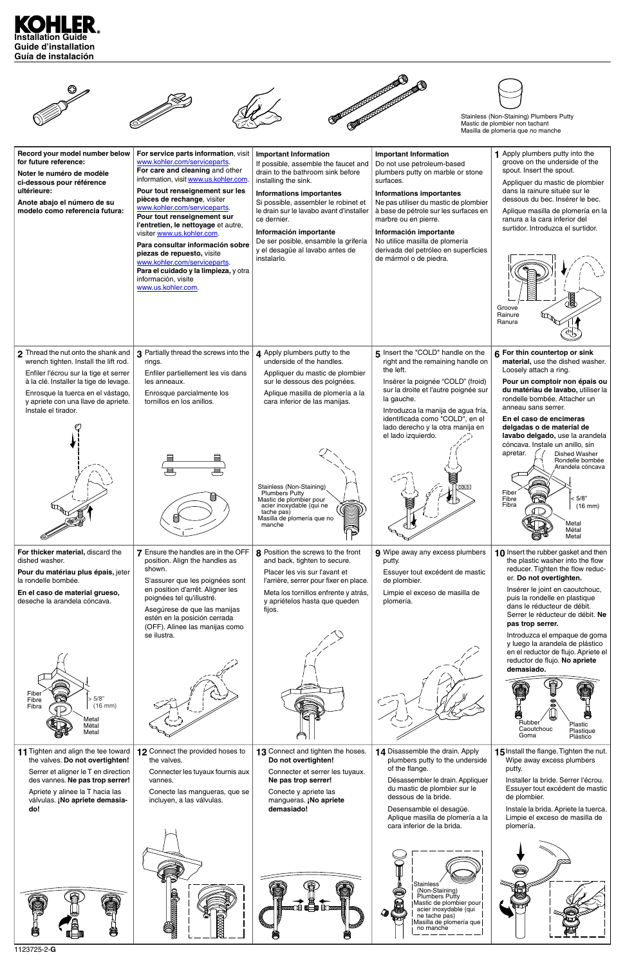